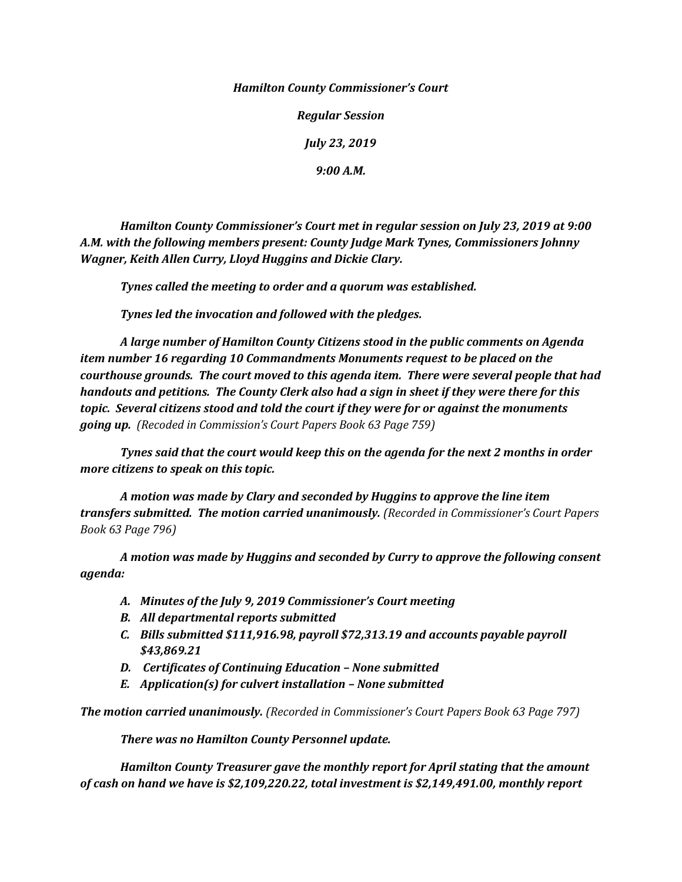## *Hamilton County Commissioner's Court*

*Regular Session*

*July 23, 2019* 

*9:00 A.M.*

*Hamilton County Commissioner's Court met in regular session on July 23, 2019 at 9:00 A.M. with the following members present: County Judge Mark Tynes, Commissioners Johnny Wagner, Keith Allen Curry, Lloyd Huggins and Dickie Clary.*

*Tynes called the meeting to order and a quorum was established.*

*Tynes led the invocation and followed with the pledges.*

*A large number of Hamilton County Citizens stood in the public comments on Agenda item number 16 regarding 10 Commandments Monuments request to be placed on the courthouse grounds. The court moved to this agenda item. There were several people that had handouts and petitions. The County Clerk also had a sign in sheet if they were there for this topic. Several citizens stood and told the court if they were for or against the monuments going up. (Recoded in Commission's Court Papers Book 63 Page 759)*

*Tynes said that the court would keep this on the agenda for the next 2 months in order more citizens to speak on this topic.*

*A motion was made by Clary and seconded by Huggins to approve the line item transfers submitted. The motion carried unanimously. (Recorded in Commissioner's Court Papers Book 63 Page 796)*

*A motion was made by Huggins and seconded by Curry to approve the following consent agenda:*

- *A. Minutes of the July 9, 2019 Commissioner's Court meeting*
- *B. All departmental reports submitted*
- *C. Bills submitted \$111,916.98, payroll \$72,313.19 and accounts payable payroll \$43,869.21*
- *D. Certificates of Continuing Education – None submitted*
- *E. Application(s) for culvert installation – None submitted*

*The motion carried unanimously. (Recorded in Commissioner's Court Papers Book 63 Page 797)*

*There was no Hamilton County Personnel update.*

*Hamilton County Treasurer gave the monthly report for April stating that the amount of cash on hand we have is \$2,109,220.22, total investment is \$2,149,491.00, monthly report*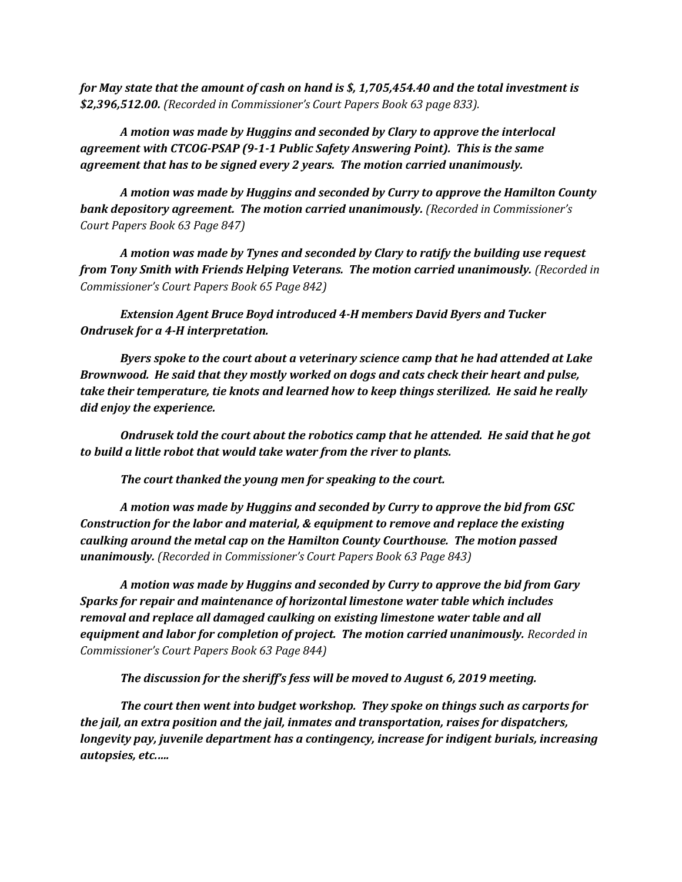*for May state that the amount of cash on hand is \$, 1,705,454.40 and the total investment is \$2,396,512.00. (Recorded in Commissioner's Court Papers Book 63 page 833).*

*A motion was made by Huggins and seconded by Clary to approve the interlocal agreement with CTCOG-PSAP (9-1-1 Public Safety Answering Point). This is the same agreement that has to be signed every 2 years. The motion carried unanimously.*

*A motion was made by Huggins and seconded by Curry to approve the Hamilton County bank depository agreement. The motion carried unanimously. (Recorded in Commissioner's Court Papers Book 63 Page 847)*

*A motion was made by Tynes and seconded by Clary to ratify the building use request from Tony Smith with Friends Helping Veterans. The motion carried unanimously. (Recorded in Commissioner's Court Papers Book 65 Page 842)*

*Extension Agent Bruce Boyd introduced 4-H members David Byers and Tucker Ondrusek for a 4-H interpretation.* 

*Byers spoke to the court about a veterinary science camp that he had attended at Lake Brownwood. He said that they mostly worked on dogs and cats check their heart and pulse, take their temperature, tie knots and learned how to keep things sterilized. He said he really did enjoy the experience.*

*Ondrusek told the court about the robotics camp that he attended. He said that he got to build a little robot that would take water from the river to plants.*

*The court thanked the young men for speaking to the court.*

*A motion was made by Huggins and seconded by Curry to approve the bid from GSC Construction for the labor and material, & equipment to remove and replace the existing caulking around the metal cap on the Hamilton County Courthouse. The motion passed unanimously. (Recorded in Commissioner's Court Papers Book 63 Page 843)*

*A motion was made by Huggins and seconded by Curry to approve the bid from Gary Sparks for repair and maintenance of horizontal limestone water table which includes removal and replace all damaged caulking on existing limestone water table and all equipment and labor for completion of project. The motion carried unanimously. Recorded in Commissioner's Court Papers Book 63 Page 844)*

*The discussion for the sheriff's fess will be moved to August 6, 2019 meeting.*

*The court then went into budget workshop. They spoke on things such as carports for the jail, an extra position and the jail, inmates and transportation, raises for dispatchers, longevity pay, juvenile department has a contingency, increase for indigent burials, increasing autopsies, etc.….*